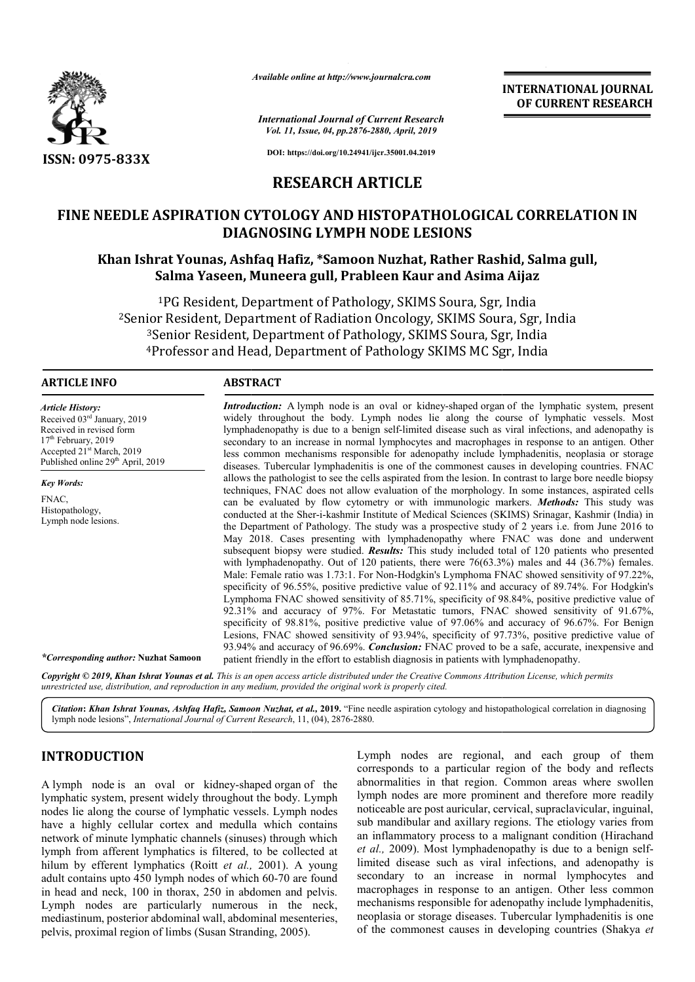

*Available online at http://www.journalcra.com*

*International Journal of Current Research Vol. 11, Issue, 04, pp.2876-2880, April, 2019*

**INTERNATIONAL JOURNAL OF CURRENT RESEARCH**

**DOI: https://doi.org/10.24941/ijcr.35001.04.2019**

## **RESEARCH ARTICLE**

# **FINE NEEDLE ASPIRATION CYTOLOGY AND HISTOPATHOLOGICAL CORRELATION IN DIAGNOSING LYMPH NODE LESIONS NEEDLE ASPIRATION CYTOLOGY AND HISTOPATHOLOF DIAGNOSING LYMPH NODE LESION<br>DIAGNOSING LYMPH NODE LESION<br>Khan Ishrat Younas, Ashfaq Hafiz, \*Samoon Nuzhat, Rathe<br>Salma Yaseen, Muneera gull, Prableen Kaur and**

### **Khan Ishrat Younas, Ashfaq Hafiz, \*Samoon Nuzhat, Rather Rashid, Salma gull, Salma Yaseen, Muneera gull, Prableen Kaur and Asima Aijaz**

<sup>1</sup>PG Resident, Department of Pathology, SKIMS Soura, Sgr, India <sup>1</sup>PG Resident, Department of Pathology, SKIMS Soura, Sgr, India<br><sup>2</sup>Senior Resident, Department of Radiation Oncology, SKIMS Soura, Sgr, India <sup>3</sup>Senior Resident, Department of Pathology, SKIMS Soura, Sgr, India <sup>4</sup>Professor and Head, Department of Pathology SKIMS MC Sgr, India

#### **ARTICLE INFO ABSTRACT**

*Article History:* Received 03rd January, 2019 Received in revised form 17<sup>th</sup> February, 2019 Accepted 21<sup>st</sup> March, 2019 Published online 29<sup>th</sup> April, 2019

*Key Words:* FNAC, Histopathology, Lymph node lesions.

*Introduction:* A lymph node is an oval or kidney-shaped organ of the lymphatic system, present widely throughout the body. Lymph nodes lie along the course of lymphatic vessels. Most lymphadenopathy is due to a benign self-limited disease such as viral infections, and adenopathy is secondary to an increase in normal lymphocytes and macrophages in response to an antigen. Other less common mechanisms responsible for adenopathy include lymphadenitis, neoplasia or storage diseases. Tubercular lymphadenitis is one of the commonest causes in developing countries. FNAC allows the pathologist to see the cells aspirated from the lesion. In contrast to large bore needle biopsy techniques, FNAC does not allow evaluation of the morphology. In some instances, aspirated cells diseases. Tubercular lymphadenitis is one of the commonest causes in developing countries. FNAC allows the pathologist to see the cells aspirated from the lesion. In contrast to large bore needle biopsy techniques, FNAC do conducted at the Sher-i-kashmir Institute of Medical Sciences (SKIMS) Srinagar, Kashmir (India) in the Department of Pathology. The study was a prospective study of 2 years i.e. from June 2016 to May 2018. Cases presenting with lymphadenopathy where FNAC was done and underwent subsequent biopsy were studied. *Results:* This study included total with lymphadenopathy. Out of 120 patients, there were  $76(63.3%)$  males and 44  $(36.7%)$  females. Male: Female ratio was 1.73:1. For Non-Hodgkin's Lymphoma FNAC showed sensitivity of 97.22%, specificity of 96.55%, positive predictive value of 92.11% and accuracy of 89.74%. For Hodgkin's Lymphoma FNAC showed sensitivity of 85.71%, specificity of 98.84%, positive predictive value of 92.31% and accuracy of 97%. For Metastatic tumors, FNAC showed sensitivity of 91.67%, specificity of 98.81%, positive predictive value of 97.06% and accuracy of 96.67%. For Benign Lesions, FNAC showed sensitivity of 93.94%, specificity of 97.73%, positive predictive value of 93.94% and accuracy of 96.69%. *Conclusion:* FNAC proved to be a safe, accurate, patient friendly in the effort to establish diagnosis in patients with lymphadenopathy. widely throughout the body. Lymph nodes lie along the course of lymphatic vessels. Most lymphadenopathy is due to a benign self-limited disease such as viral infections, and adenopathy is secondary to an increase in normal the Department of Pathology. The study was a prospective study of 2 years i.e. from June 2016 to May 2018. Cases presenting with lymphadenopathy where FNAC was done and underwent subsequent biopsy were studied. *Results*: Male: Female ratio was 1.73:1. For Non-Hodgkin's Lymphoma FNAC showed sensitivity of 97.22%, specificity of 96.55%, positive predictive value of 92.11% and accuracy of 89.74%. For Hodgkin's Lymphoma FNAC showed sensitivity

Copyright © 2019, Khan Ishrat Younas et al. This is an open access article distributed under the Creative Commons Attribution License, which permits *unrestricted use, distribution, and reproduction in any medium, provided the original work is properly cited.*

Citation: Khan Ishrat Younas, Ashfaq Hafiz, Samoon Nuzhat, et al., 2019. "Fine needle aspiration cytology and histopathological correlation in diagnosing lymph node lesions", *International Journal of Current Research* , 11, (04), 2876-2880.

### **INTRODUCTION**

*\*Corresponding author:* **Nuzhat Samoon**

A lymph node is an oval or kidney-shaped organ of the lymphatic system, present widely throughout the body. Lymph nodes lie along the course of lymphatic vessels. Lymph nodes have a highly cellular cortex and medulla which contains network of minute lymphatic channels (sinuses) through which lymph from afferent lymphatics is filtered, to be collected at hilum by efferent lymphatics (Roitt *et al.,*  2001). A young adult contains upto 450 lymph nodes of which 60 60-70 are found in head and neck, 100 in thorax, 250 in abdomen and pelvis. Lymph nodes are particularly numerous in the neck, mediastinum, posterior abdominal wall, abdominal mesenteries, pelvis, proximal region of limbs (Susan Stranding, 2005).

Lymph nodes are regional, and each group of them corresponds to a particular region of the body and reflects corresponds to a particular region of the body and reflects abnormalities in that region. Common areas where swollen lymph nodes are more prominent and therefore more readily lymph nodes are more prominent and therefore more readily<br>noticeable are post auricular, cervical, supraclavicular, inguinal, sub mandibular and axillary regions. The etiology varies from sub mandibular and axillary regions. The etiology varies from<br>an inflammatory process to a malignant condition (Hirachand et al., 2009). Most lymphadenopathy is due to a benign selflimited disease such as viral infections, and adenopathy is secondary to an increase in normal lymphocytes and macrophages in response to an antigen. Other less common mechanisms responsible for adenopathy include lymphadenitis, neoplasia or storage diseases. Tubercular lymphadenitis is one of the commonest causes in developing countries (Shakya *et*  disease such as viral infections, and adenopathy<br>ry to an increase in normal lymphocytes a<br>aages in response to an antigen. Other less comm<br>sms responsible for adenopathy include lymphadenit<br>a or storage diseases. Tubercul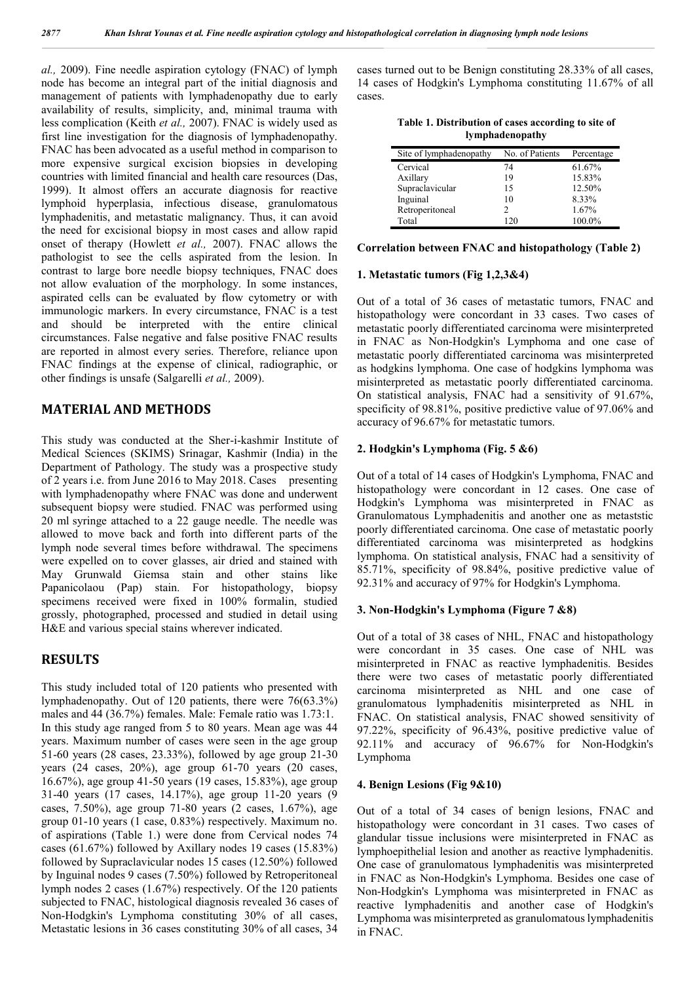*al.,* 2009). Fine needle aspiration cytology (FNAC) of lymph node has become an integral part of the initial diagnosis and management of patients with lymphadenopathy due to early availability of results, simplicity, and, minimal trauma with less complication (Keith *et al.,* 2007). FNAC is widely used as first line investigation for the diagnosis of lymphadenopathy. FNAC has been advocated as a useful method in comparison to more expensive surgical excision biopsies in developing countries with limited financial and health care resources (Das, 1999). It almost offers an accurate diagnosis for reactive lymphoid hyperplasia, infectious disease, granulomatous lymphadenitis, and metastatic malignancy. Thus, it can avoid the need for excisional biopsy in most cases and allow rapid onset of therapy (Howlett *et al.,* 2007). FNAC allows the pathologist to see the cells aspirated from the lesion. In contrast to large bore needle biopsy techniques, FNAC does not allow evaluation of the morphology. In some instances, aspirated cells can be evaluated by flow cytometry or with immunologic markers. In every circumstance, FNAC is a test and should be interpreted with the entire clinical circumstances. False negative and false positive FNAC results are reported in almost every series. Therefore, reliance upon FNAC findings at the expense of clinical, radiographic, or other findings is unsafe (Salgarelli *et al.,* 2009).

### **MATERIAL AND METHODS**

This study was conducted at the Sher-i-kashmir Institute of Medical Sciences (SKIMS) Srinagar, Kashmir (India) in the Department of Pathology. The study was a prospective study of 2 years i.e. from June 2016 to May 2018. Cases presenting with lymphadenopathy where FNAC was done and underwent subsequent biopsy were studied. FNAC was performed using 20 ml syringe attached to a 22 gauge needle. The needle was allowed to move back and forth into different parts of the lymph node several times before withdrawal. The specimens were expelled on to cover glasses, air dried and stained with May Grunwald Giemsa stain and other stains like Papanicolaou (Pap) stain. For histopathology, biopsy specimens received were fixed in 100% formalin, studied grossly, photographed, processed and studied in detail using H&E and various special stains wherever indicated.

### **RESULTS**

This study included total of 120 patients who presented with lymphadenopathy. Out of 120 patients, there were 76(63.3%) males and 44 (36.7%) females. Male: Female ratio was 1.73:1. In this study age ranged from 5 to 80 years. Mean age was 44 years. Maximum number of cases were seen in the age group 51-60 years (28 cases, 23.33%), followed by age group 21-30 years (24 cases, 20%), age group 61-70 years (20 cases, 16.67%), age group 41-50 years (19 cases, 15.83%), age group 31-40 years (17 cases, 14.17%), age group 11-20 years (9 cases, 7.50%), age group 71-80 years (2 cases, 1.67%), age group 01-10 years (1 case, 0.83%) respectively. Maximum no. of aspirations (Table 1.) were done from Cervical nodes 74 cases (61.67%) followed by Axillary nodes 19 cases (15.83%) followed by Supraclavicular nodes 15 cases (12.50%) followed by Inguinal nodes 9 cases (7.50%) followed by Retroperitoneal lymph nodes 2 cases (1.67%) respectively. Of the 120 patients subjected to FNAC, histological diagnosis revealed 36 cases of Non-Hodgkin's Lymphoma constituting 30% of all cases, Metastatic lesions in 36 cases constituting 30% of all cases, 34

cases turned out to be Benign constituting 28.33% of all cases, 14 cases of Hodgkin's Lymphoma constituting 11.67% of all cases.

| Table 1. Distribution of cases according to site of |  |
|-----------------------------------------------------|--|
| lymphadenopathy                                     |  |

| Site of lymphadenopathy | No. of Patients | Percentage |
|-------------------------|-----------------|------------|
| Cervical                | 74              | 61.67%     |
| Axillary                | 19              | 15.83%     |
| Supraclavicular         | 15              | 12.50%     |
| Inguinal                | 10              | 8.33%      |
| Retroperitoneal         |                 | 1.67%      |
| Total                   | 120             | 100.0%     |

#### **Correlation between FNAC and histopathology (Table 2)**

#### **1. Metastatic tumors (Fig 1,2,3&4)**

Out of a total of 36 cases of metastatic tumors, FNAC and histopathology were concordant in 33 cases. Two cases of metastatic poorly differentiated carcinoma were misinterpreted in FNAC as Non-Hodgkin's Lymphoma and one case of metastatic poorly differentiated carcinoma was misinterpreted as hodgkins lymphoma. One case of hodgkins lymphoma was misinterpreted as metastatic poorly differentiated carcinoma. On statistical analysis, FNAC had a sensitivity of 91.67%, specificity of 98.81%, positive predictive value of 97.06% and accuracy of 96.67% for metastatic tumors.

#### **2. Hodgkin's Lymphoma (Fig. 5 &6)**

Out of a total of 14 cases of Hodgkin's Lymphoma, FNAC and histopathology were concordant in 12 cases. One case of Hodgkin's Lymphoma was misinterpreted in FNAC as Granulomatous Lymphadenitis and another one as metaststic poorly differentiated carcinoma. One case of metastatic poorly differentiated carcinoma was misinterpreted as hodgkins lymphoma. On statistical analysis, FNAC had a sensitivity of 85.71%, specificity of 98.84%, positive predictive value of 92.31% and accuracy of 97% for Hodgkin's Lymphoma.

#### **3. Non-Hodgkin's Lymphoma (Figure 7 &8)**

Out of a total of 38 cases of NHL, FNAC and histopathology were concordant in 35 cases. One case of NHL was misinterpreted in FNAC as reactive lymphadenitis. Besides there were two cases of metastatic poorly differentiated carcinoma misinterpreted as NHL and one case of granulomatous lymphadenitis misinterpreted as NHL in FNAC. On statistical analysis, FNAC showed sensitivity of 97.22%, specificity of 96.43%, positive predictive value of 92.11% and accuracy of 96.67% for Non-Hodgkin's Lymphoma

#### **4. Benign Lesions (Fig 9&10)**

Out of a total of 34 cases of benign lesions, FNAC and histopathology were concordant in 31 cases. Two cases of glandular tissue inclusions were misinterpreted in FNAC as lymphoepithelial lesion and another as reactive lymphadenitis. One case of granulomatous lymphadenitis was misinterpreted in FNAC as Non-Hodgkin's Lymphoma. Besides one case of Non-Hodgkin's Lymphoma was misinterpreted in FNAC as reactive lymphadenitis and another case of Hodgkin's Lymphoma was misinterpreted as granulomatous lymphadenitis in FNAC.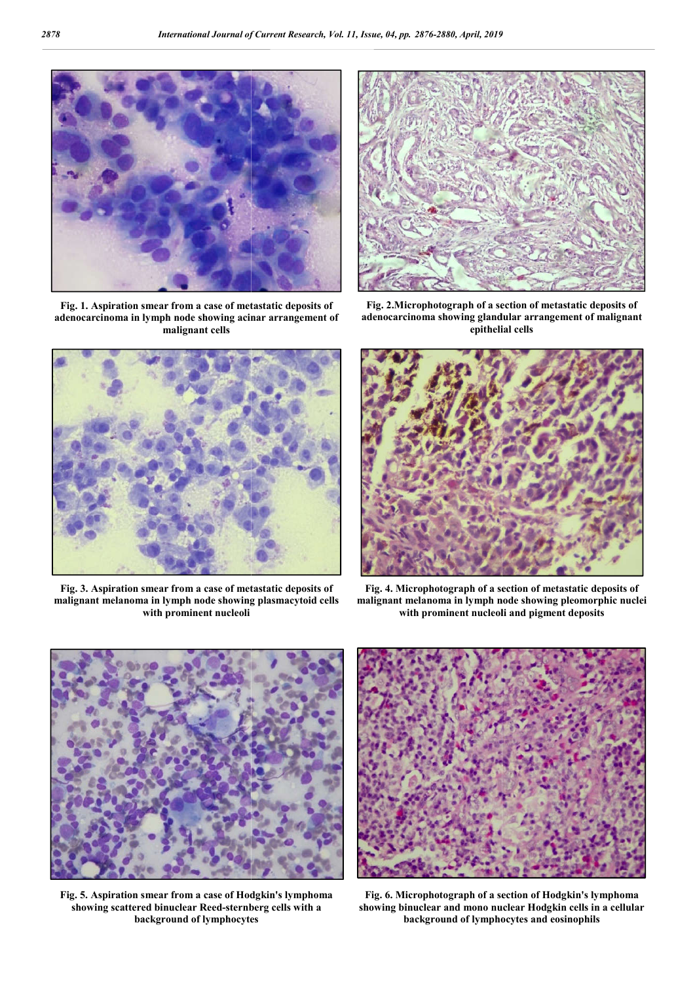

**Fig. 1. Aspiration smear from a case of metastatic deposits of adenocarcinoma in lymph node showing acinar arrangement of malignant cells**



**Fig. 3. Aspiration smear from a case of metastatic deposits of malignant melanoma in lymph node showing plasmacytoid cel cells with prominent nucleoli**



**Fig. 2.Microphotograph of a section of metastatic deposits of adenocarcinoma showing glandular arrangemen Microphotograph metastatic adenocarcinoma showing arrangement of malignant epithelial cells**



**Fig. 4. Microphotograph of a section of metastatic deposits of malignant melanoma in lymph node showing with prominent nucleoli and pigment deposits**



**Fig. 5. Aspiration smear from a case of Hodgkin's lymphoma**  showing scattered binuclear Reed-sternberg cells with a **background of lymphocytes**



**Fig. 6. Microphotograph of a section of showing binuclear and mono nuclear Hodgkin cells in a cellular showing binuclear cells in and eosinophils background of lymphocytes and eosinophil**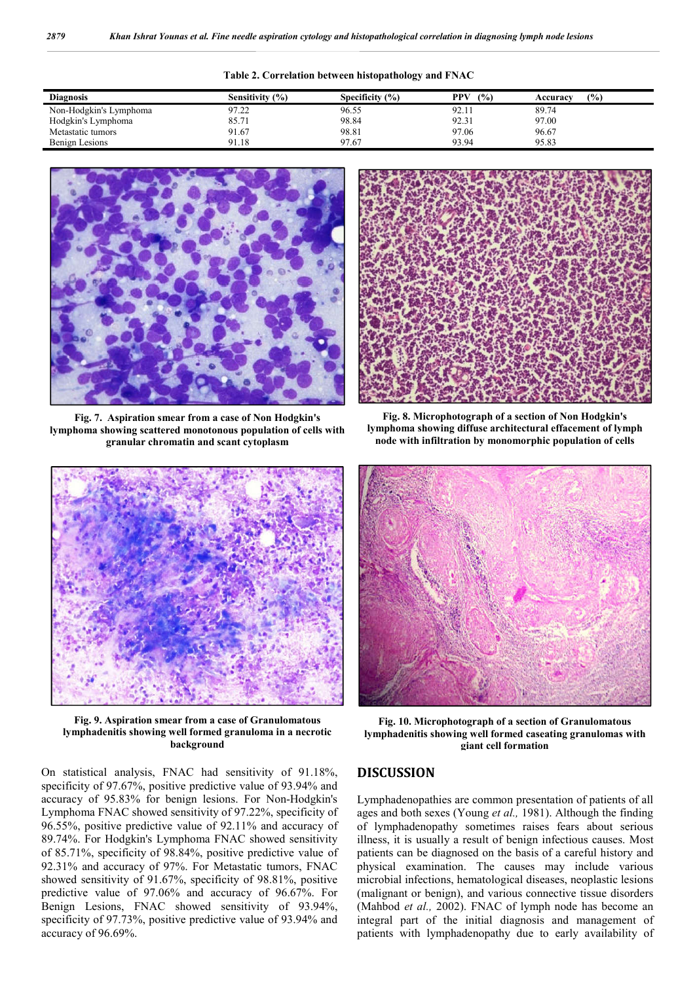| Diagnosis              | Sensitivity $(% )$ | Specificity $(% )$ | (%)<br>PPV | (9/0)<br>Accuracy |
|------------------------|--------------------|--------------------|------------|-------------------|
| Non-Hodgkin's Lymphoma | 97.22              | 96.55              | 92.11      | 89.74             |
| Hodgkin's Lymphoma     | 85.71              | 98.84              | 92.31      | 97.00             |
| Metastatic tumors      | 91.67              | 98.81              | 97.06      | 96.67             |
| Benign Lesions         | 91.18              | 97.67              | 93.94      | 95.83             |

**Table 2. Correlation between histopathology and FNAC**



**Fig. 7. Aspiration smear from a case of Non Hodgkin's lymphoma showing scattered monotonous population of cells with granular chromatin and scant cytoplasm**



**Fig. 8. Microphotograph of a section of Non Hodgkin's lymphoma showing diffuse architectural effacement of lymph node with infiltration by monomorphic population of cells**



**Fig. 9. Aspiration smear from a case of Granulomatous lymphadenitis showing well formed granuloma in a necrotic background**

On statistical analysis, FNAC had sensitivity of 91.18%, specificity of 97.67%, positive predictive value of 93.94% and accuracy of 95.83% for benign lesions. For Non-Hodgkin's Lymphoma FNAC showed sensitivity of 97.22%, specificity of 96.55%, positive predictive value of 92.11% and accuracy of 89.74%. For Hodgkin's Lymphoma FNAC showed sensitivity of 85.71%, specificity of 98.84%, positive predictive value of 92.31% and accuracy of 97%. For Metastatic tumors, FNAC showed sensitivity of 91.67%, specificity of 98.81%, positive predictive value of 97.06% and accuracy of 96.67%. For Benign Lesions, FNAC showed sensitivity of 93.94%, specificity of 97.73%, positive predictive value of 93.94% and accuracy of 96.69%.



**Fig. 10. Microphotograph of a section of Granulomatous lymphadenitis showing well formed caseating granulomas with giant cell formation**

#### **DISCUSSION**

Lymphadenopathies are common presentation of patients of all ages and both sexes (Young *et al.,* 1981). Although the finding of lymphadenopathy sometimes raises fears about serious illness, it is usually a result of benign infectious causes. Most patients can be diagnosed on the basis of a careful history and physical examination. The causes may include various microbial infections, hematological diseases, neoplastic lesions (malignant or benign), and various connective tissue disorders (Mahbod *et al.,* 2002). FNAC of lymph node has become an integral part of the initial diagnosis and management of patients with lymphadenopathy due to early availability of